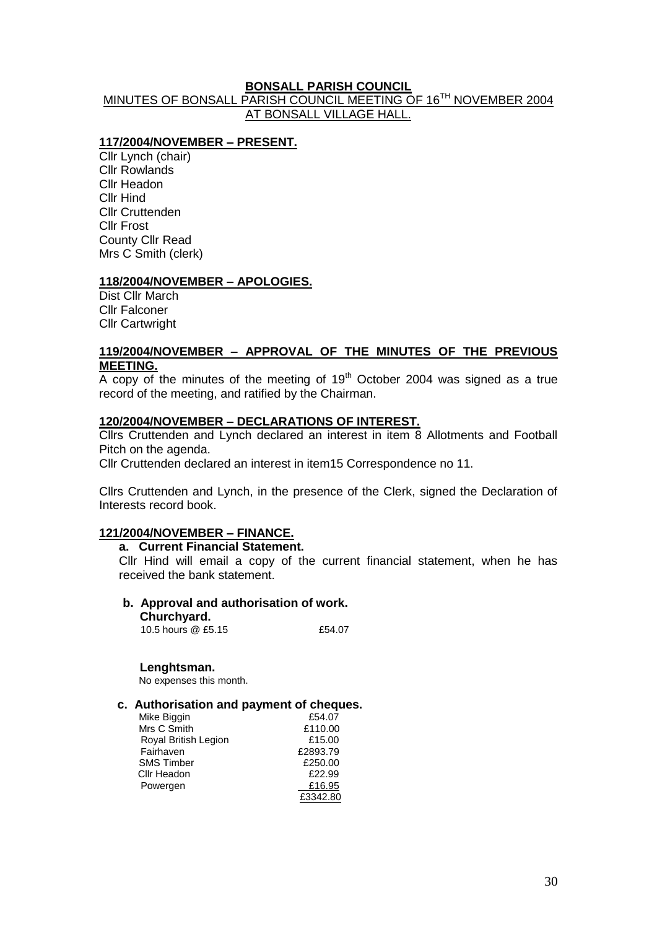# **BONSALL PARISH COUNCIL**

# MINUTES OF BONSALL PARISH COUNCIL MEETING OF 16<sup>TH</sup> NOVEMBER 2004 AT BONSALL VILLAGE HALL.

### **117/2004/NOVEMBER – PRESENT.**

Cllr Lynch (chair) Cllr Rowlands Cllr Headon Cllr Hind Cllr Cruttenden Cllr Frost County Cllr Read Mrs C Smith (clerk)

#### **118/2004/NOVEMBER – APOLOGIES.**

Dist Cllr March Cllr Falconer Cllr Cartwright

#### **119/2004/NOVEMBER – APPROVAL OF THE MINUTES OF THE PREVIOUS MEETING.**

 $\overline{A}$  copy of the minutes of the meeting of 19<sup>th</sup> October 2004 was signed as a true record of the meeting, and ratified by the Chairman.

#### **120/2004/NOVEMBER – DECLARATIONS OF INTEREST.**

Cllrs Cruttenden and Lynch declared an interest in item 8 Allotments and Football Pitch on the agenda.

Cllr Cruttenden declared an interest in item15 Correspondence no 11.

Cllrs Cruttenden and Lynch, in the presence of the Clerk, signed the Declaration of Interests record book.

# **121/2004/NOVEMBER – FINANCE.**

#### **a. Current Financial Statement.**

Cllr Hind will email a copy of the current financial statement, when he has received the bank statement.

# **b. Approval and authorisation of work.**

- **Churchyard.**
- 10.5 hours  $@.55.15$   $f54.07$

#### **Lenghtsman.**

No expenses this month.

### **c. Authorisation and payment of cheques.**

| Mike Biggin          | £54.07   |
|----------------------|----------|
| Mrs C Smith          | £110.00  |
| Royal British Legion | £15.00   |
| Fairhaven            | £2893.79 |
| <b>SMS Timber</b>    | £250.00  |
| Cllr Headon          | £22.99   |
| Powergen             | £16.95   |
|                      | £3342.80 |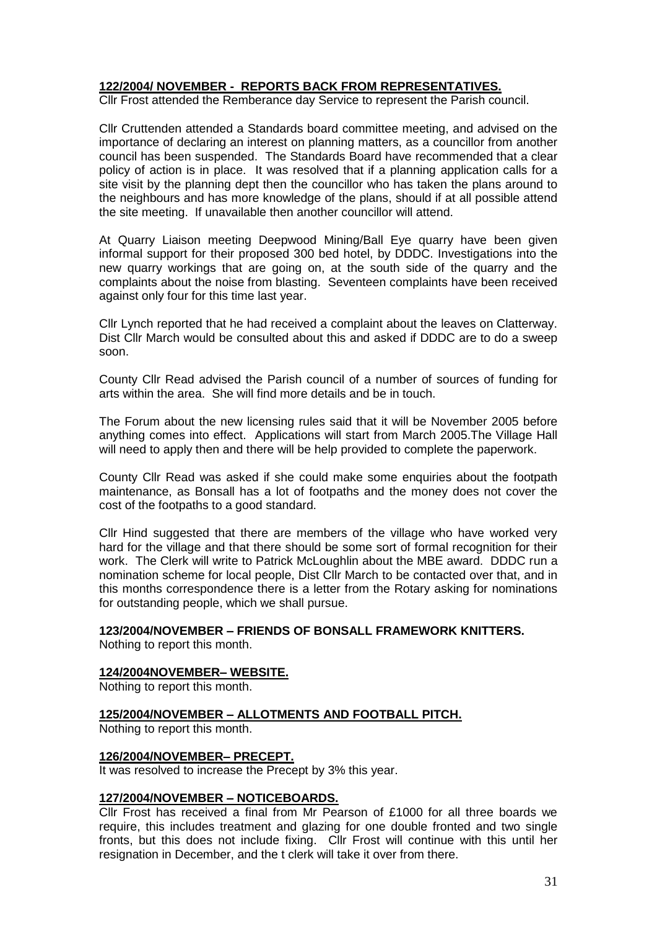# **122/2004/ NOVEMBER - REPORTS BACK FROM REPRESENTATIVES.**

Cllr Frost attended the Remberance day Service to represent the Parish council.

Cllr Cruttenden attended a Standards board committee meeting, and advised on the importance of declaring an interest on planning matters, as a councillor from another council has been suspended. The Standards Board have recommended that a clear policy of action is in place. It was resolved that if a planning application calls for a site visit by the planning dept then the councillor who has taken the plans around to the neighbours and has more knowledge of the plans, should if at all possible attend the site meeting. If unavailable then another councillor will attend.

At Quarry Liaison meeting Deepwood Mining/Ball Eye quarry have been given informal support for their proposed 300 bed hotel, by DDDC. Investigations into the new quarry workings that are going on, at the south side of the quarry and the complaints about the noise from blasting. Seventeen complaints have been received against only four for this time last year.

Cllr Lynch reported that he had received a complaint about the leaves on Clatterway. Dist Cllr March would be consulted about this and asked if DDDC are to do a sweep soon.

County Cllr Read advised the Parish council of a number of sources of funding for arts within the area. She will find more details and be in touch.

The Forum about the new licensing rules said that it will be November 2005 before anything comes into effect. Applications will start from March 2005.The Village Hall will need to apply then and there will be help provided to complete the paperwork.

County Cllr Read was asked if she could make some enquiries about the footpath maintenance, as Bonsall has a lot of footpaths and the money does not cover the cost of the footpaths to a good standard.

Cllr Hind suggested that there are members of the village who have worked very hard for the village and that there should be some sort of formal recognition for their work. The Clerk will write to Patrick McLoughlin about the MBE award. DDDC run a nomination scheme for local people, Dist Cllr March to be contacted over that, and in this months correspondence there is a letter from the Rotary asking for nominations for outstanding people, which we shall pursue.

#### **123/2004/NOVEMBER – FRIENDS OF BONSALL FRAMEWORK KNITTERS.**

Nothing to report this month.

#### **124/2004NOVEMBER– WEBSITE.**

Nothing to report this month.

#### **125/2004/NOVEMBER – ALLOTMENTS AND FOOTBALL PITCH.**

Nothing to report this month.

#### **126/2004/NOVEMBER– PRECEPT.**

It was resolved to increase the Precept by 3% this year.

#### **127/2004/NOVEMBER – NOTICEBOARDS.**

Cllr Frost has received a final from Mr Pearson of £1000 for all three boards we require, this includes treatment and glazing for one double fronted and two single fronts, but this does not include fixing. Cllr Frost will continue with this until her resignation in December, and the t clerk will take it over from there.